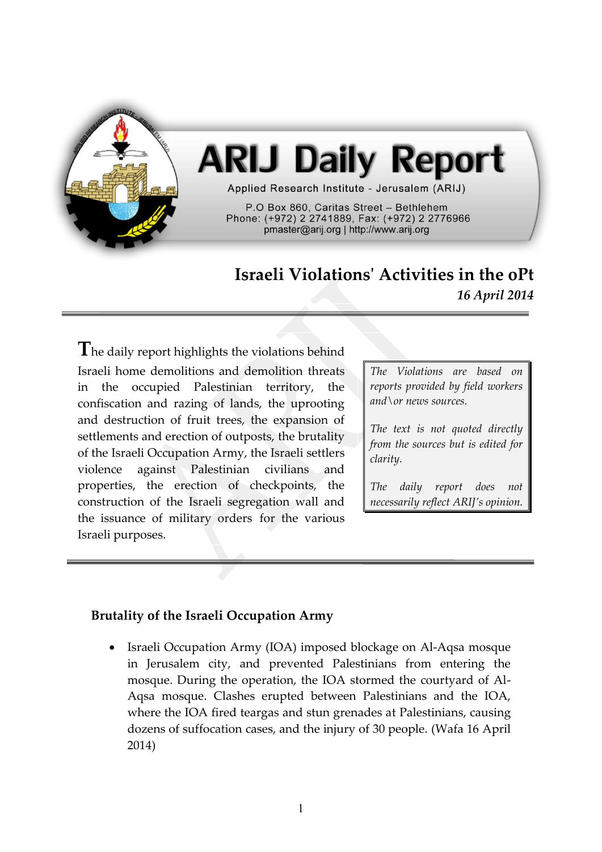

# **ARIJ Daily Report**

Applied Research Institute - Jerusalem (ARIJ)

P.O Box 860. Caritas Street - Bethlehem Phone: (+972) 2 2741889, Fax: (+972) 2 2776966 pmaster@arij.org | http://www.arij.org

## **Israeli Violations' Activities in the oPt** *16 April 2014*

**T**he daily report highlights the violations behind Israeli home demolitions and demolition threats in the occupied Palestinian territory, the confiscation and razing of lands, the uprooting and destruction of fruit trees, the expansion of settlements and erection of outposts, the brutality of the Israeli Occupation Army, the Israeli settlers violence against Palestinian civilians and properties, the erection of checkpoints, the construction of the Israeli segregation wall and the issuance of military orders for the various Israeli purposes.

*The Violations are based on reports provided by field workers and\or news sources.*

*The text is not quoted directly from the sources but is edited for clarity.*

*The daily report does not necessarily reflect ARIJ's opinion.*

### **Brutality of the Israeli Occupation Army**

 Israeli Occupation Army (IOA) imposed blockage on Al-Aqsa mosque in Jerusalem city, and prevented Palestinians from entering the mosque. During the operation, the IOA stormed the courtyard of Al-Aqsa mosque. Clashes erupted between Palestinians and the IOA, where the IOA fired teargas and stun grenades at Palestinians, causing dozens of suffocation cases, and the injury of 30 people. (Wafa 16 April 2014)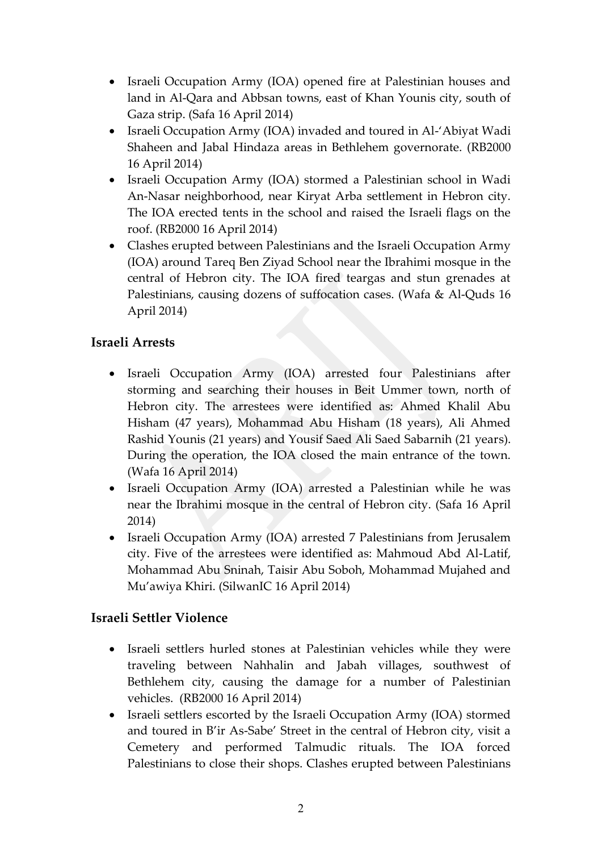- Israeli Occupation Army (IOA) opened fire at Palestinian houses and land in Al-Qara and Abbsan towns, east of Khan Younis city, south of Gaza strip. (Safa 16 April 2014)
- Israeli Occupation Army (IOA) invaded and toured in Al-'Abiyat Wadi Shaheen and Jabal Hindaza areas in Bethlehem governorate. (RB2000 16 April 2014)
- Israeli Occupation Army (IOA) stormed a Palestinian school in Wadi An-Nasar neighborhood, near Kiryat Arba settlement in Hebron city. The IOA erected tents in the school and raised the Israeli flags on the roof. (RB2000 16 April 2014)
- Clashes erupted between Palestinians and the Israeli Occupation Army (IOA) around Tareq Ben Ziyad School near the Ibrahimi mosque in the central of Hebron city. The IOA fired teargas and stun grenades at Palestinians, causing dozens of suffocation cases. (Wafa & Al-Quds 16 April 2014)

### **Israeli Arrests**

- Israeli Occupation Army (IOA) arrested four Palestinians after storming and searching their houses in Beit Ummer town, north of Hebron city. The arrestees were identified as: Ahmed Khalil Abu Hisham (47 years), Mohammad Abu Hisham (18 years), Ali Ahmed Rashid Younis (21 years) and Yousif Saed Ali Saed Sabarnih (21 years). During the operation, the IOA closed the main entrance of the town. (Wafa 16 April 2014)
- Israeli Occupation Army (IOA) arrested a Palestinian while he was near the Ibrahimi mosque in the central of Hebron city. (Safa 16 April 2014)
- Israeli Occupation Army (IOA) arrested 7 Palestinians from Jerusalem city. Five of the arrestees were identified as: Mahmoud Abd Al-Latif, Mohammad Abu Sninah, Taisir Abu Soboh, Mohammad Mujahed and Mu'awiya Khiri. (SilwanIC 16 April 2014)

#### **Israeli Settler Violence**

- Israeli settlers hurled stones at Palestinian vehicles while they were traveling between Nahhalin and Jabah villages, southwest of Bethlehem city, causing the damage for a number of Palestinian vehicles. (RB2000 16 April 2014)
- Israeli settlers escorted by the Israeli Occupation Army (IOA) stormed and toured in B'ir As-Sabe' Street in the central of Hebron city, visit a Cemetery and performed Talmudic rituals. The IOA forced Palestinians to close their shops. Clashes erupted between Palestinians